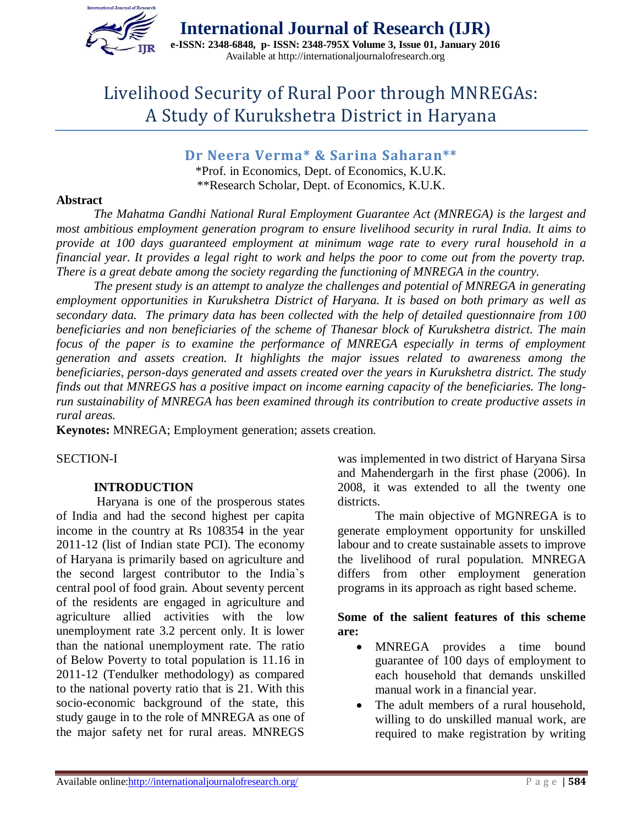

**International Journal of Research (IJR) e-ISSN: 2348-6848, p- ISSN: 2348-795X Volume 3, Issue 01, January 2016** Available at http://internationaljournalofresearch.org

# Livelihood Security of Rural Poor through MNREGAs: A Study of Kurukshetra District in Haryana

**Dr Neera Verma\* & Sarina Saharan\*\*** \*Prof. in Economics, Dept. of Economics, K.U.K. \*\*Research Scholar, Dept. of Economics, K.U.K.

#### **Abstract**

*The Mahatma Gandhi National Rural Employment Guarantee Act (MNREGA) is the largest and most ambitious employment generation program to ensure livelihood security in rural India. It aims to provide at 100 days guaranteed employment at minimum wage rate to every rural household in a financial year. It provides a legal right to work and helps the poor to come out from the poverty trap. There is a great debate among the society regarding the functioning of MNREGA in the country.* 

*The present study is an attempt to analyze the challenges and potential of MNREGA in generating employment opportunities in Kurukshetra District of Haryana. It is based on both primary as well as secondary data. The primary data has been collected with the help of detailed questionnaire from 100 beneficiaries and non beneficiaries of the scheme of Thanesar block of Kurukshetra district. The main*  focus of the paper is to examine the performance of MNREGA especially in terms of employment *generation and assets creation. It highlights the major issues related to awareness among the beneficiaries, person-days generated and assets created over the years in Kurukshetra district. The study finds out that MNREGS has a positive impact on income earning capacity of the beneficiaries. The longrun sustainability of MNREGA has been examined through its contribution to create productive assets in rural areas.*

**Keynotes:** MNREGA; Employment generation; assets creation.

#### SECTION-I

#### **INTRODUCTION**

Haryana is one of the prosperous states of India and had the second highest per capita income in the country at Rs 108354 in the year 2011-12 (list of Indian state PCI). The economy of Haryana is primarily based on agriculture and the second largest contributor to the India`s central pool of food grain. About seventy percent of the residents are engaged in agriculture and agriculture allied activities with the low unemployment rate 3.2 percent only. It is lower than the national unemployment rate. The ratio of Below Poverty to total population is 11.16 in 2011-12 (Tendulker methodology) as compared to the national poverty ratio that is 21. With this socio-economic background of the state, this study gauge in to the role of MNREGA as one of the major safety net for rural areas. MNREGS

was implemented in two district of Haryana Sirsa and Mahendergarh in the first phase (2006). In 2008, it was extended to all the twenty one districts.

The main objective of MGNREGA is to generate employment opportunity for unskilled labour and to create sustainable assets to improve the livelihood of rural population. MNREGA differs from other employment generation programs in its approach as right based scheme.

#### **Some of the salient features of this scheme are:**

- MNREGA provides a time bound guarantee of 100 days of employment to each household that demands unskilled manual work in a financial year.
- The adult members of a rural household, willing to do unskilled manual work, are required to make registration by writing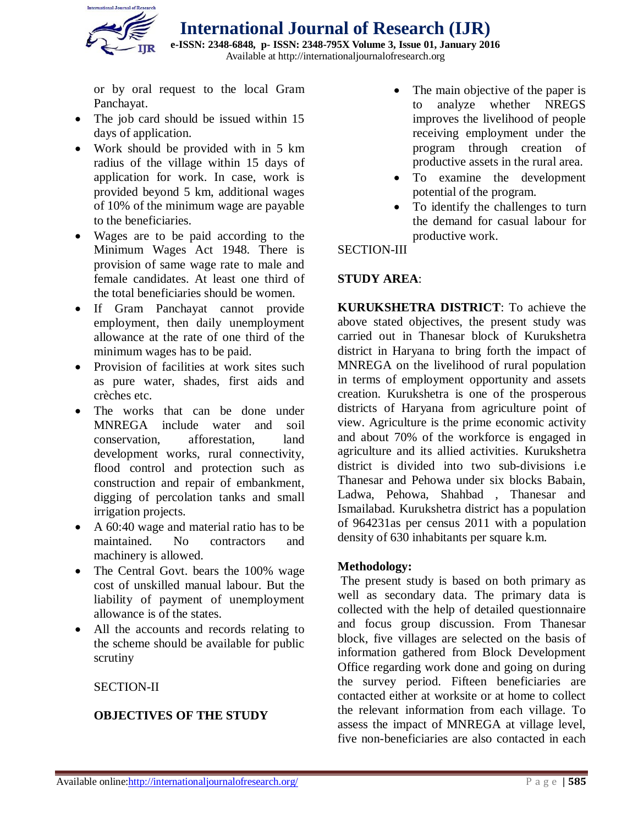

**e-ISSN: 2348-6848, p- ISSN: 2348-795X Volume 3, Issue 01, January 2016** Available at http://internationaljournalofresearch.org

or by oral request to the local Gram Panchayat.

- The job card should be issued within 15 days of application.
- Work should be provided with in 5 km radius of the village within 15 days of application for work. In case, work is provided beyond 5 km, additional wages of 10% of the minimum wage are payable to the beneficiaries.
- Wages are to be paid according to the Minimum Wages Act 1948. There is provision of same wage rate to male and female candidates. At least one third of the total beneficiaries should be women.
- If Gram Panchayat cannot provide employment, then daily unemployment allowance at the rate of one third of the minimum wages has to be paid.
- Provision of facilities at work sites such as pure water, shades, first aids and crèches etc.
- The works that can be done under MNREGA include water and soil conservation, afforestation, land development works, rural connectivity, flood control and protection such as construction and repair of embankment, digging of percolation tanks and small irrigation projects.
- A 60:40 wage and material ratio has to be maintained. No contractors and machinery is allowed.
- The Central Govt. bears the 100% wage cost of unskilled manual labour. But the liability of payment of unemployment allowance is of the states.
- All the accounts and records relating to the scheme should be available for public scrutiny
	- SECTION-II

#### **OBJECTIVES OF THE STUDY**

- The main objective of the paper is to analyze whether NREGS improves the livelihood of people receiving employment under the program through creation of productive assets in the rural area.
- To examine the development potential of the program.
- To identify the challenges to turn the demand for casual labour for productive work.

#### SECTION-III

#### **STUDY AREA**:

**KURUKSHETRA DISTRICT**: To achieve the above stated objectives, the present study was carried out in Thanesar block of Kurukshetra district in Haryana to bring forth the impact of MNREGA on the livelihood of rural population in terms of employment opportunity and assets creation. Kurukshetra is one of the prosperous districts of Haryana from agriculture point of view. Agriculture is the prime economic activity and about 70% of the workforce is engaged in agriculture and its allied activities. Kurukshetra district is divided into two sub-divisions i.e Thanesar and Pehowa under six blocks Babain, Ladwa, Pehowa, Shahbad , Thanesar and Ismailabad. Kurukshetra district has a population of 964231as per census 2011 with a population density of 630 inhabitants per square k.m.

#### **Methodology:**

The present study is based on both primary as well as secondary data. The primary data is collected with the help of detailed questionnaire and focus group discussion. From Thanesar block, five villages are selected on the basis of information gathered from Block Development Office regarding work done and going on during the survey period. Fifteen beneficiaries are contacted either at worksite or at home to collect the relevant information from each village. To assess the impact of MNREGA at village level, five non-beneficiaries are also contacted in each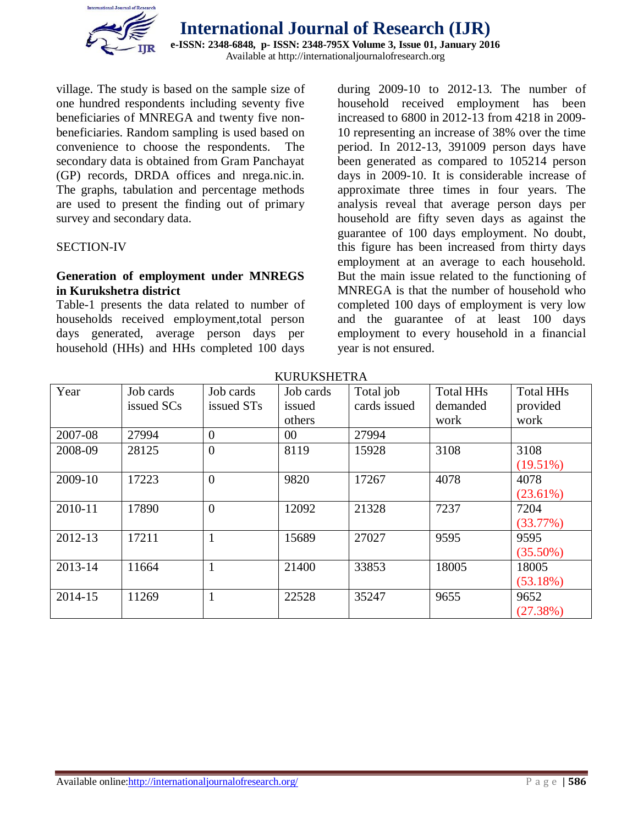

village. The study is based on the sample size of one hundred respondents including seventy five beneficiaries of MNREGA and twenty five nonbeneficiaries. Random sampling is used based on convenience to choose the respondents. The secondary data is obtained from Gram Panchayat (GP) records, DRDA offices and nrega.nic.in. The graphs, tabulation and percentage methods are used to present the finding out of primary survey and secondary data.

#### SECTION-IV

#### **Generation of employment under MNREGS in Kurukshetra district**

Table-1 presents the data related to number of households received employment,total person days generated, average person days per household (HHs) and HHs completed 100 days

during 2009-10 to 2012-13. The number of household received employment has been increased to 6800 in 2012-13 from 4218 in 2009- 10 representing an increase of 38% over the time period. In 2012-13, 391009 person days have been generated as compared to 105214 person days in 2009-10. It is considerable increase of approximate three times in four years. The analysis reveal that average person days per household are fifty seven days as against the guarantee of 100 days employment. No doubt, this figure has been increased from thirty days employment at an average to each household. But the main issue related to the functioning of MNREGA is that the number of household who completed 100 days of employment is very low and the guarantee of at least 100 days employment to every household in a financial year is not ensured.

| Year    | Job cards  | Job cards      | Job cards | Total job    | <b>Total HHs</b> | <b>Total HHs</b> |
|---------|------------|----------------|-----------|--------------|------------------|------------------|
|         | issued SCs | issued STs     | issued    | cards issued | demanded         | provided         |
|         |            |                | others    |              | work             | work             |
| 2007-08 | 27994      | $\overline{0}$ | $00\,$    | 27994        |                  |                  |
| 2008-09 | 28125      | $\overline{0}$ | 8119      | 15928        | 3108             | 3108             |
|         |            |                |           |              |                  | $(19.51\%)$      |
| 2009-10 | 17223      | $\overline{0}$ | 9820      | 17267        | 4078             | 4078             |
|         |            |                |           |              |                  | $(23.61\%)$      |
| 2010-11 | 17890      | $\overline{0}$ | 12092     | 21328        | 7237             | 7204             |
|         |            |                |           |              |                  | (33.77%)         |
| 2012-13 | 17211      | $\mathbf{1}$   | 15689     | 27027        | 9595             | 9595             |
|         |            |                |           |              |                  | $(35.50\%)$      |
| 2013-14 | 11664      | 1              | 21400     | 33853        | 18005            | 18005            |
|         |            |                |           |              |                  | (53.18%)         |
| 2014-15 | 11269      | 1              | 22528     | 35247        | 9655             | 9652             |
|         |            |                |           |              |                  | (27.38%)         |

KURUKSHETRA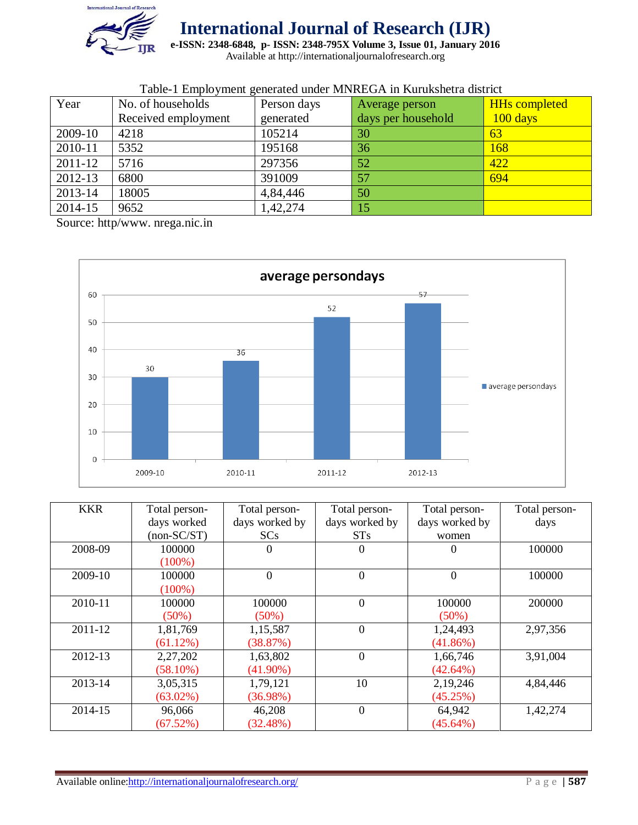

**e-ISSN: 2348-6848, p- ISSN: 2348-795X Volume 3, Issue 01, January 2016**

Available at http://internationaljournalofresearch.org

| Twist T Employment generated ander infurned Fill Ixarakonetia district |                     |             |                    |                      |  |
|------------------------------------------------------------------------|---------------------|-------------|--------------------|----------------------|--|
| Year                                                                   | No. of households   | Person days | Average person     | <b>HHs completed</b> |  |
|                                                                        | Received employment | generated   | days per household | $100 \text{ days}$   |  |
| 2009-10                                                                | 4218                | 105214      | 30                 | 63                   |  |
| 2010-11                                                                | 5352                | 195168      | 36                 | 168                  |  |
| 2011-12                                                                | 5716                | 297356      | 52                 | 422                  |  |
| 2012-13                                                                | 6800                | 391009      | 57                 | 694                  |  |
| 2013-14                                                                | 18005               | 4,84,446    | 50                 |                      |  |
| 2014-15                                                                | 9652                | 1,42,274    | 15                 |                      |  |

#### Table-1 Employment generated under MNREGA in Kurukshetra district

Source: http/www. nrega.nic.in



| <b>KKR</b> | Total person- | Total person-  | Total person-  | Total person-  | Total person- |
|------------|---------------|----------------|----------------|----------------|---------------|
|            | days worked   | days worked by | days worked by | days worked by | days          |
|            | $non-SC/ST)$  | SCs            | STs            | women          |               |
| 2008-09    | 100000        | $\overline{0}$ | $\Omega$       | 0              | 100000        |
|            | $(100\%)$     |                |                |                |               |
| 2009-10    | 100000        | $\overline{0}$ | $\overline{0}$ | $\overline{0}$ | 100000        |
|            | $(100\%)$     |                |                |                |               |
| 2010-11    | 100000        | 100000         | $\overline{0}$ | 100000         | 200000        |
|            | $(50\%)$      | $(50\%)$       |                | (50%)          |               |
| 2011-12    | 1,81,769      | 1,15,587       | $\theta$       | 1,24,493       | 2,97,356      |
|            | $(61.12\%)$   | (38.87%)       |                | (41.86%)       |               |
| 2012-13    | 2,27,202      | 1,63,802       | $\overline{0}$ | 1,66,746       | 3,91,004      |
|            | $(58.10\%)$   | $(41.90\%)$    |                | (42.64%)       |               |
| 2013-14    | 3,05,315      | 1,79,121       | 10             | 2,19,246       | 4,84,446      |
|            | $(63.02\%)$   | (36.98%)       |                | (45.25%)       |               |
| 2014-15    | 96,066        | 46,208         | $\overline{0}$ | 64,942         | 1,42,274      |
|            | (67.52%)      | $(32.48\%)$    |                | $(45.64\%)$    |               |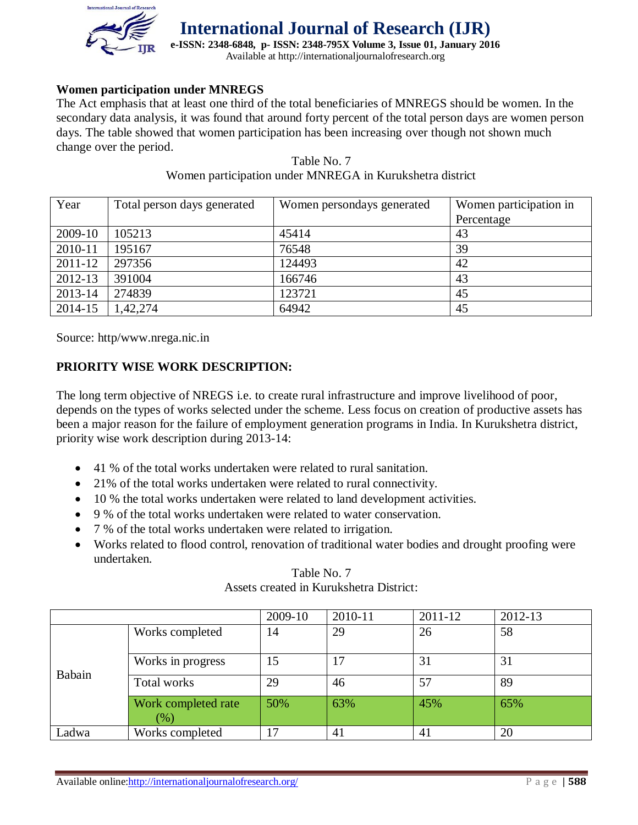

**e-ISSN: 2348-6848, p- ISSN: 2348-795X Volume 3, Issue 01, January 2016** Available at http://internationaljournalofresearch.org

#### **Women participation under MNREGS**

The Act emphasis that at least one third of the total beneficiaries of MNREGS should be women. In the secondary data analysis, it was found that around forty percent of the total person days are women person days. The table showed that women participation has been increasing over though not shown much change over the period.

| Year    | Total person days generated | Women persondays generated | Women participation in |
|---------|-----------------------------|----------------------------|------------------------|
|         |                             |                            | Percentage             |
| 2009-10 | 105213                      | 45414                      | 43                     |
| 2010-11 | 195167                      | 76548                      | 39                     |
| 2011-12 | 297356                      | 124493                     | 42                     |
| 2012-13 | 391004                      | 166746                     | 43                     |
| 2013-14 | 274839                      | 123721                     | 45                     |
| 2014-15 | 1,42,274                    | 64942                      | 45                     |

#### Table No. 7 Women participation under MNREGA in Kurukshetra district

Source: http/www.nrega.nic.in

#### **PRIORITY WISE WORK DESCRIPTION:**

The long term objective of NREGS i.e. to create rural infrastructure and improve livelihood of poor, depends on the types of works selected under the scheme. Less focus on creation of productive assets has been a major reason for the failure of employment generation programs in India. In Kurukshetra district, priority wise work description during 2013-14:

- 41 % of the total works undertaken were related to rural sanitation.
- 21% of the total works undertaken were related to rural connectivity.
- 10 % the total works undertaken were related to land development activities.
- 9 % of the total works undertaken were related to water conservation.
- 7 % of the total works undertaken were related to irrigation.
- Works related to flood control, renovation of traditional water bodies and drought proofing were undertaken.

|        |                            | 2009-10 | 2010-11 | 2011-12 | 2012-13 |
|--------|----------------------------|---------|---------|---------|---------|
|        | Works completed            | 14      | 29      | 26      | 58      |
| Babain | Works in progress          | 15      | 17      | 31      | 31      |
|        | Total works                | 29      | 46      | 57      | 89      |
|        | Work completed rate<br>(%) | 50%     | 63%     | 45%     | 65%     |
| Ladwa  | Works completed            | −       | 41      | 41      | 20      |

#### Table No. 7 Assets created in Kurukshetra District: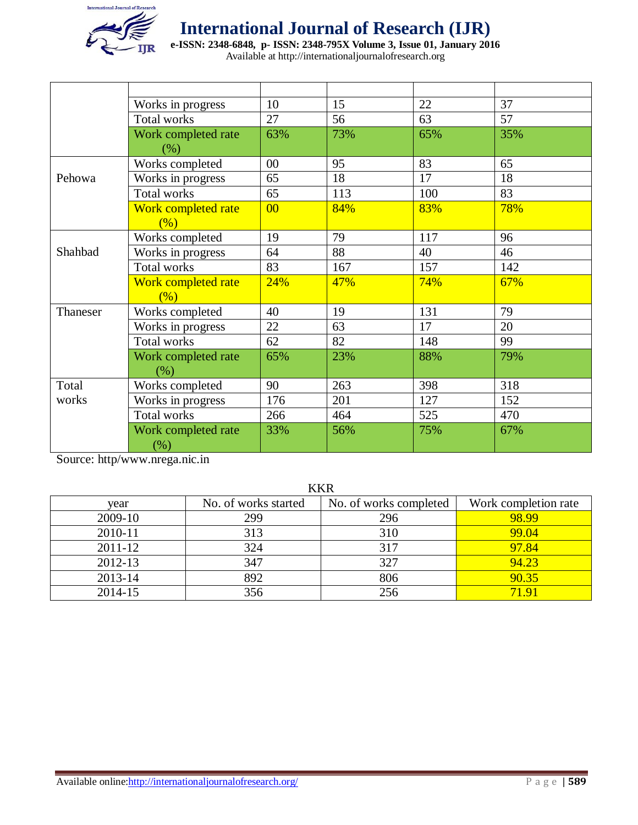

**e-ISSN: 2348-6848, p- ISSN: 2348-795X Volume 3, Issue 01, January 2016**

Available at http://internationaljournalofresearch.org

|          | Works in progress             | 10             | 15  | 22  | 37  |
|----------|-------------------------------|----------------|-----|-----|-----|
|          | <b>Total works</b>            | 27             | 56  | 63  | 57  |
|          | Work completed rate<br>$(\%)$ | 63%            | 73% | 65% | 35% |
|          | Works completed               | 00             | 95  | 83  | 65  |
| Pehowa   | Works in progress             | 65             | 18  | 17  | 18  |
|          | <b>Total works</b>            | 65             | 113 | 100 | 83  |
|          | Work completed rate           | 0 <sup>0</sup> | 84% | 83% | 78% |
|          | (% )                          |                |     |     |     |
|          | Works completed               | 19             | 79  | 117 | 96  |
| Shahbad  | Works in progress             | 64             | 88  | 40  | 46  |
|          | <b>Total works</b>            | 83             | 167 | 157 | 142 |
|          | Work completed rate<br>(% )   | 24%            | 47% | 74% | 67% |
| Thaneser | Works completed               | 40             | 19  | 131 | 79  |
|          | Works in progress             | 22             | 63  | 17  | 20  |
|          | <b>Total works</b>            | 62             | 82  | 148 | 99  |
|          | Work completed rate<br>(% )   | 65%            | 23% | 88% | 79% |
| Total    | Works completed               | 90             | 263 | 398 | 318 |
| works    | Works in progress             | 176            | 201 | 127 | 152 |
|          | <b>Total works</b>            | 266            | 464 | 525 | 470 |
|          | Work completed rate<br>$(\%)$ | 33%            | 56% | 75% | 67% |

Source: http/www.nrega.nic.in

KKR

| year    | No. of works started | No. of works completed | Work completion rate |
|---------|----------------------|------------------------|----------------------|
| 2009-10 | 299                  | 296                    | 98.99                |
| 2010-11 | 313                  | 310                    | 99.04                |
| 2011-12 | 324                  | 317                    | 97.84                |
| 2012-13 | 347                  | 327                    | 94.23                |
| 2013-14 | 892                  | 806                    | 90.35                |
| 2014-15 | 356                  | 256                    | 71 91                |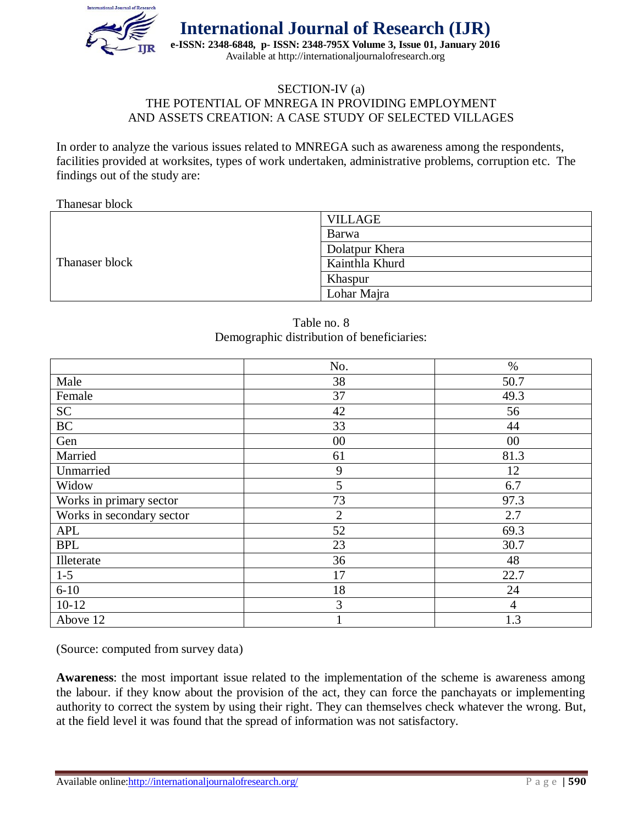

#### SECTION-IV (a) THE POTENTIAL OF MNREGA IN PROVIDING EMPLOYMENT AND ASSETS CREATION: A CASE STUDY OF SELECTED VILLAGES

In order to analyze the various issues related to MNREGA such as awareness among the respondents, facilities provided at worksites, types of work undertaken, administrative problems, corruption etc. The findings out of the study are:

Thanesar block

|                | <b>VILLAGE</b> |
|----------------|----------------|
|                | Barwa          |
|                | Dolatpur Khera |
| Thanaser block | Kainthla Khurd |
|                | Khaspur        |
|                | Lohar Majra    |

| Table no. 8                                |
|--------------------------------------------|
| Demographic distribution of beneficiaries: |

|                           | No.            | $\%$           |
|---------------------------|----------------|----------------|
| Male                      | 38             | 50.7           |
| Female                    | 37             | 49.3           |
| <b>SC</b>                 | 42             | 56             |
| $\rm BC$                  | 33             | 44             |
| Gen                       | 00             | $00\,$         |
| Married                   | 61             | 81.3           |
| Unmarried                 | 9              | 12             |
| Widow                     | 5              | 6.7            |
| Works in primary sector   | 73             | 97.3           |
| Works in secondary sector | $\overline{2}$ | 2.7            |
| <b>APL</b>                | 52             | 69.3           |
| <b>BPL</b>                | 23             | 30.7           |
| Illeterate                | 36             | 48             |
| $1 - 5$                   | 17             | 22.7           |
| $6 - 10$                  | 18             | 24             |
| $10-12$                   | 3              | $\overline{4}$ |
| Above 12                  |                | 1.3            |

(Source: computed from survey data)

**Awareness**: the most important issue related to the implementation of the scheme is awareness among the labour. if they know about the provision of the act, they can force the panchayats or implementing authority to correct the system by using their right. They can themselves check whatever the wrong. But, at the field level it was found that the spread of information was not satisfactory.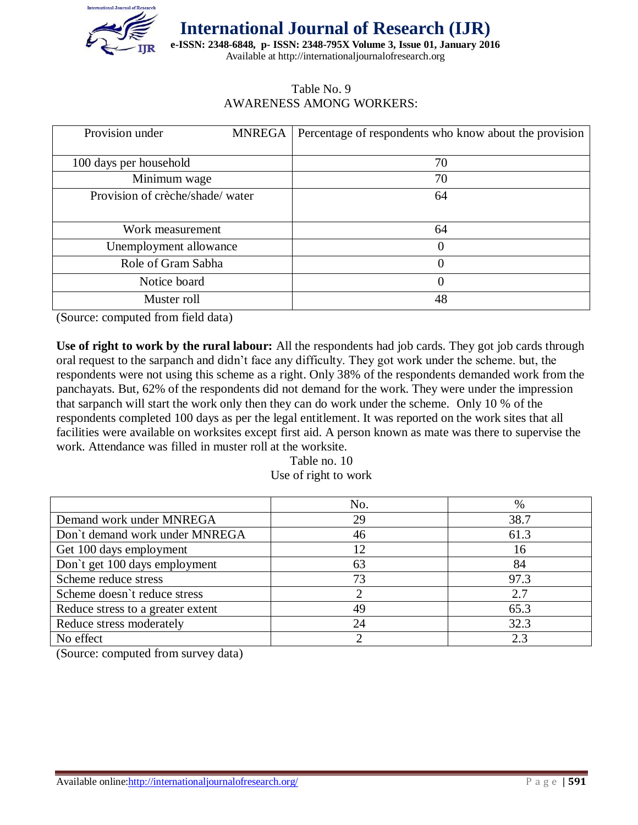

**e-ISSN: 2348-6848, p- ISSN: 2348-795X Volume 3, Issue 01, January 2016** Available at http://internationaljournalofresearch.org

#### Table No. 9 AWARENESS AMONG WORKERS:

| Provision under                 | <b>MNREGA</b> | Percentage of respondents who know about the provision |
|---------------------------------|---------------|--------------------------------------------------------|
|                                 |               |                                                        |
| 100 days per household          |               | 70                                                     |
| Minimum wage                    |               | 70                                                     |
| Provision of crèche/shade/water |               | 64                                                     |
|                                 |               |                                                        |
| Work measurement                |               | 64                                                     |
| Unemployment allowance          |               | 0                                                      |
| Role of Gram Sabha              |               | 0                                                      |
| Notice board                    |               | 0                                                      |
| Muster roll                     |               | 48                                                     |

(Source: computed from field data)

**Use of right to work by the rural labour:** All the respondents had job cards. They got job cards through oral request to the sarpanch and didn't face any difficulty. They got work under the scheme. but, the respondents were not using this scheme as a right. Only 38% of the respondents demanded work from the panchayats. But, 62% of the respondents did not demand for the work. They were under the impression that sarpanch will start the work only then they can do work under the scheme. Only 10 % of the respondents completed 100 days as per the legal entitlement. It was reported on the work sites that all facilities were available on worksites except first aid. A person known as mate was there to supervise the work. Attendance was filled in muster roll at the worksite.

Table no. 10 Use of right to work

|                                   | No. | %    |
|-----------------------------------|-----|------|
| Demand work under MNREGA          | 29  | 38.7 |
| Don't demand work under MNREGA    | 46  | 61.3 |
| Get 100 days employment           | 12  | 16   |
| Don't get 100 days employment     | 63  | 84   |
| Scheme reduce stress              | 73  | 97.3 |
| Scheme doesn't reduce stress      |     | 2.7  |
| Reduce stress to a greater extent | 49  | 65.3 |
| Reduce stress moderately          | 24  | 32.3 |
| No effect                         |     | 2.3  |

(Source: computed from survey data)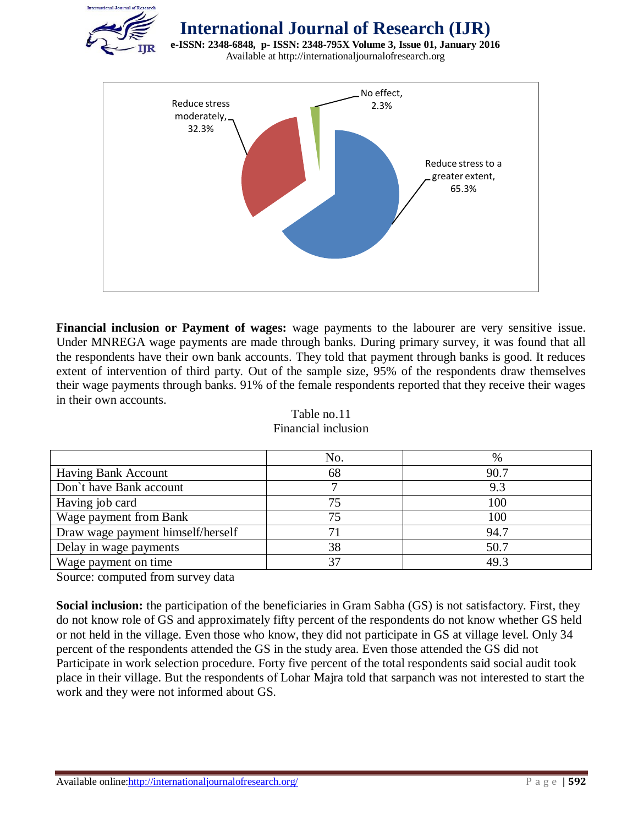

**e-ISSN: 2348-6848, p- ISSN: 2348-795X Volume 3, Issue 01, January 2016** Available at http://internationaljournalofresearch.org



**Financial inclusion or Payment of wages:** wage payments to the labourer are very sensitive issue. Under MNREGA wage payments are made through banks. During primary survey, it was found that all the respondents have their own bank accounts. They told that payment through banks is good. It reduces extent of intervention of third party. Out of the sample size, 95% of the respondents draw themselves their wage payments through banks. 91% of the female respondents reported that they receive their wages in their own accounts.

|                                   | No. | %    |
|-----------------------------------|-----|------|
| Having Bank Account               | 68  | 90.7 |
| Don't have Bank account           |     | 9.3  |
| Having job card                   | 75  | 100  |
| Wage payment from Bank            | 75  | 100  |
| Draw wage payment himself/herself |     | 94.7 |
| Delay in wage payments            | 38  | 50.7 |
| Wage payment on time              |     | 49.3 |

Table no.11 Financial inclusion

Source: computed from survey data

**Social inclusion:** the participation of the beneficiaries in Gram Sabha (GS) is not satisfactory. First, they do not know role of GS and approximately fifty percent of the respondents do not know whether GS held or not held in the village. Even those who know, they did not participate in GS at village level. Only 34 percent of the respondents attended the GS in the study area. Even those attended the GS did not Participate in work selection procedure. Forty five percent of the total respondents said social audit took place in their village. But the respondents of Lohar Majra told that sarpanch was not interested to start the work and they were not informed about GS.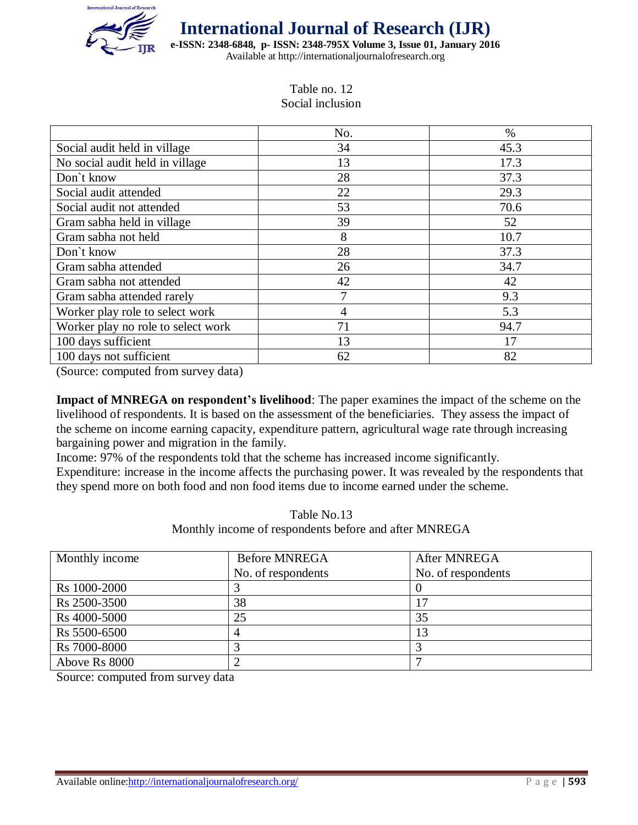

**e-ISSN: 2348-6848, p- ISSN: 2348-795X Volume 3, Issue 01, January 2016** Available at http://internationaljournalofresearch.org

> Table no. 12 Social inclusion

|                                    | No. | $\%$ |
|------------------------------------|-----|------|
| Social audit held in village       | 34  | 45.3 |
| No social audit held in village    | 13  | 17.3 |
| Don't know                         | 28  | 37.3 |
| Social audit attended              | 22  | 29.3 |
| Social audit not attended          | 53  | 70.6 |
| Gram sabha held in village         | 39  | 52   |
| Gram sabha not held                | 8   | 10.7 |
| Don't know                         | 28  | 37.3 |
| Gram sabha attended                | 26  | 34.7 |
| Gram sabha not attended            | 42  | 42   |
| Gram sabha attended rarely         | 7   | 9.3  |
| Worker play role to select work    | 4   | 5.3  |
| Worker play no role to select work | 71  | 94.7 |
| 100 days sufficient                | 13  | 17   |
| 100 days not sufficient            | 62  | 82   |

(Source: computed from survey data)

**Impact of MNREGA on respondent's livelihood**: The paper examines the impact of the scheme on the livelihood of respondents. It is based on the assessment of the beneficiaries. They assess the impact of the scheme on income earning capacity, expenditure pattern, agricultural wage rate through increasing bargaining power and migration in the family.

Income: 97% of the respondents told that the scheme has increased income significantly.

Expenditure: increase in the income affects the purchasing power. It was revealed by the respondents that they spend more on both food and non food items due to income earned under the scheme.

> Table No.13 Monthly income of respondents before and after MNREGA

| Monthly income | <b>Before MNREGA</b> | After MNREGA       |
|----------------|----------------------|--------------------|
|                | No. of respondents   | No. of respondents |
| Rs 1000-2000   |                      |                    |
| Rs 2500-3500   | 38                   |                    |
| Rs 4000-5000   | 25                   | 35                 |
| Rs 5500-6500   |                      |                    |
| Rs 7000-8000   |                      |                    |
| Above Rs 8000  |                      |                    |

Source: computed from survey data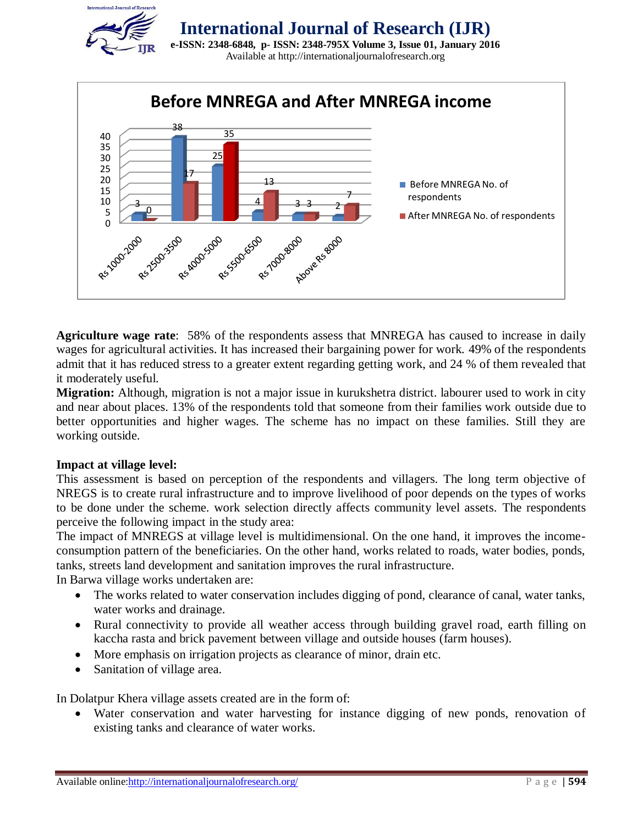



**Agriculture wage rate**: 58% of the respondents assess that MNREGA has caused to increase in daily wages for agricultural activities. It has increased their bargaining power for work. 49% of the respondents admit that it has reduced stress to a greater extent regarding getting work, and 24 % of them revealed that it moderately useful.

**Migration:** Although, migration is not a major issue in kurukshetra district. labourer used to work in city and near about places. 13% of the respondents told that someone from their families work outside due to better opportunities and higher wages. The scheme has no impact on these families. Still they are working outside.

#### **Impact at village level:**

This assessment is based on perception of the respondents and villagers. The long term objective of NREGS is to create rural infrastructure and to improve livelihood of poor depends on the types of works to be done under the scheme. work selection directly affects community level assets. The respondents perceive the following impact in the study area:

The impact of MNREGS at village level is multidimensional. On the one hand, it improves the incomeconsumption pattern of the beneficiaries. On the other hand, works related to roads, water bodies, ponds, tanks, streets land development and sanitation improves the rural infrastructure.

In Barwa village works undertaken are:

- The works related to water conservation includes digging of pond, clearance of canal, water tanks, water works and drainage.
- Rural connectivity to provide all weather access through building gravel road, earth filling on kaccha rasta and brick pavement between village and outside houses (farm houses).
- More emphasis on irrigation projects as clearance of minor, drain etc.
- Sanitation of village area.

In Dolatpur Khera village assets created are in the form of:

 Water conservation and water harvesting for instance digging of new ponds, renovation of existing tanks and clearance of water works.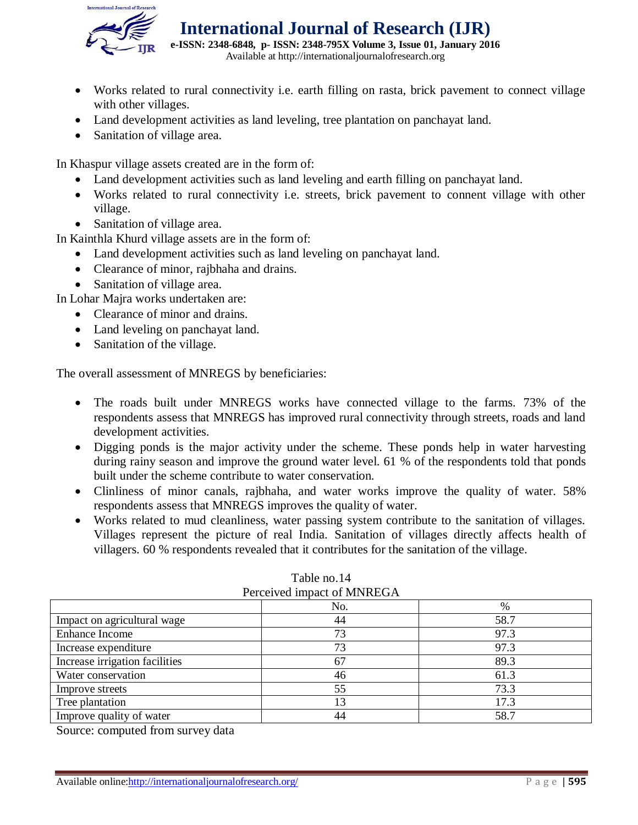

**e-ISSN: 2348-6848, p- ISSN: 2348-795X Volume 3, Issue 01, January 2016** Available at http://internationaljournalofresearch.org

- Works related to rural connectivity i.e. earth filling on rasta, brick pavement to connect village with other villages.
- Land development activities as land leveling, tree plantation on panchayat land.
- Sanitation of village area.

In Khaspur village assets created are in the form of:

- Land development activities such as land leveling and earth filling on panchayat land.
- Works related to rural connectivity i.e. streets, brick pavement to connent village with other village.
- Sanitation of village area.

In Kainthla Khurd village assets are in the form of:

- Land development activities such as land leveling on panchayat land.
- Clearance of minor, rajbhaha and drains.
- Sanitation of village area.

In Lohar Majra works undertaken are:

- Clearance of minor and drains.
- Land leveling on panchayat land.
- Sanitation of the village.

The overall assessment of MNREGS by beneficiaries:

- The roads built under MNREGS works have connected village to the farms. 73% of the respondents assess that MNREGS has improved rural connectivity through streets, roads and land development activities.
- Digging ponds is the major activity under the scheme. These ponds help in water harvesting during rainy season and improve the ground water level. 61 % of the respondents told that ponds built under the scheme contribute to water conservation.
- Clinliness of minor canals, rajbhaha, and water works improve the quality of water. 58% respondents assess that MNREGS improves the quality of water.
- Works related to mud cleanliness, water passing system contribute to the sanitation of villages. Villages represent the picture of real India. Sanitation of villages directly affects health of villagers. 60 % respondents revealed that it contributes for the sanitation of the village.

| PEICEIVED IMPACT OF MINKEUR    |     |      |
|--------------------------------|-----|------|
|                                | No. | %    |
| Impact on agricultural wage    | 44  | 58.7 |
| <b>Enhance Income</b>          | 73  | 97.3 |
| Increase expenditure           | 73  | 97.3 |
| Increase irrigation facilities | 67  | 89.3 |
| Water conservation             | 46  | 61.3 |
| Improve streets                | 55  | 73.3 |
| Tree plantation                | 13  | 17.3 |
| Improve quality of water       | 44  | 58.7 |

#### Table no.14 Perceived impact of MNREGA

Source: computed from survey data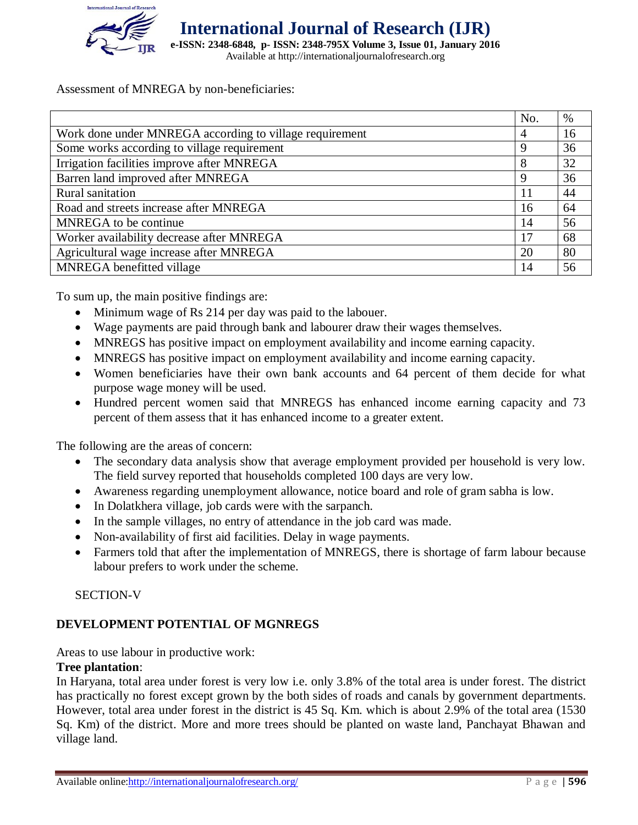

**International Journal of Research (IJR) e-ISSN: 2348-6848, p- ISSN: 2348-795X Volume 3, Issue 01, January 2016** Available at http://internationaljournalofresearch.org

Assessment of MNREGA by non-beneficiaries:

|                                                         | No. | %  |
|---------------------------------------------------------|-----|----|
| Work done under MNREGA according to village requirement |     | 16 |
| Some works according to village requirement             | 9   | 36 |
| Irrigation facilities improve after MNREGA              | 8   | 32 |
| Barren land improved after MNREGA                       | 9   | 36 |
| Rural sanitation                                        | 11  | 44 |
| Road and streets increase after MNREGA                  | 16  | 64 |
| MNREGA to be continue                                   | 14  | 56 |
| Worker availability decrease after MNREGA               | 17  | 68 |
| Agricultural wage increase after MNREGA                 | 20  | 80 |
| MNREGA benefitted village                               | 14  | 56 |

To sum up, the main positive findings are:

- Minimum wage of Rs 214 per day was paid to the labouer.
- Wage payments are paid through bank and labourer draw their wages themselves.
- MNREGS has positive impact on employment availability and income earning capacity.
- MNREGS has positive impact on employment availability and income earning capacity.
- Women beneficiaries have their own bank accounts and 64 percent of them decide for what purpose wage money will be used.
- Hundred percent women said that MNREGS has enhanced income earning capacity and 73 percent of them assess that it has enhanced income to a greater extent.

The following are the areas of concern:

- The secondary data analysis show that average employment provided per household is very low. The field survey reported that households completed 100 days are very low.
- Awareness regarding unemployment allowance, notice board and role of gram sabha is low.
- In Dolatkhera village, job cards were with the sarpanch.
- In the sample villages, no entry of attendance in the job card was made.
- Non-availability of first aid facilities. Delay in wage payments.
- Farmers told that after the implementation of MNREGS, there is shortage of farm labour because labour prefers to work under the scheme.

SECTION-V

#### **DEVELOPMENT POTENTIAL OF MGNREGS**

Areas to use labour in productive work:

#### **Tree plantation**:

In Haryana, total area under forest is very low i.e. only 3.8% of the total area is under forest. The district has practically no forest except grown by the both sides of roads and canals by government departments. However, total area under forest in the district is 45 Sq. Km. which is about 2.9% of the total area (1530 Sq. Km) of the district. More and more trees should be planted on waste land, Panchayat Bhawan and village land.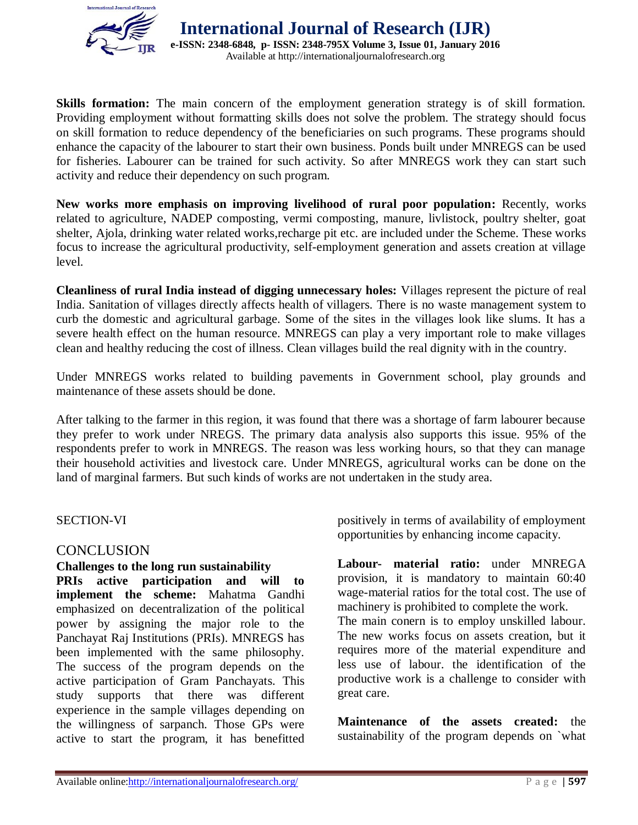

**Skills formation:** The main concern of the employment generation strategy is of skill formation. Providing employment without formatting skills does not solve the problem. The strategy should focus on skill formation to reduce dependency of the beneficiaries on such programs. These programs should enhance the capacity of the labourer to start their own business. Ponds built under MNREGS can be used for fisheries. Labourer can be trained for such activity. So after MNREGS work they can start such activity and reduce their dependency on such program.

**New works more emphasis on improving livelihood of rural poor population:** Recently, works related to agriculture, NADEP composting, vermi composting, manure, livlistock, poultry shelter, goat shelter, Ajola, drinking water related works,recharge pit etc. are included under the Scheme. These works focus to increase the agricultural productivity, self-employment generation and assets creation at village level.

**Cleanliness of rural India instead of digging unnecessary holes:** Villages represent the picture of real India. Sanitation of villages directly affects health of villagers. There is no waste management system to curb the domestic and agricultural garbage. Some of the sites in the villages look like slums. It has a severe health effect on the human resource. MNREGS can play a very important role to make villages clean and healthy reducing the cost of illness. Clean villages build the real dignity with in the country.

Under MNREGS works related to building pavements in Government school, play grounds and maintenance of these assets should be done.

After talking to the farmer in this region, it was found that there was a shortage of farm labourer because they prefer to work under NREGS. The primary data analysis also supports this issue. 95% of the respondents prefer to work in MNREGS. The reason was less working hours, so that they can manage their household activities and livestock care. Under MNREGS, agricultural works can be done on the land of marginal farmers. But such kinds of works are not undertaken in the study area.

#### SECTION-VI

#### **CONCLUSION**

**Challenges to the long run sustainability PRIs active participation and will to implement the scheme:** Mahatma Gandhi emphasized on decentralization of the political power by assigning the major role to the Panchayat Raj Institutions (PRIs). MNREGS has been implemented with the same philosophy. The success of the program depends on the active participation of Gram Panchayats. This study supports that there was different experience in the sample villages depending on the willingness of sarpanch. Those GPs were active to start the program, it has benefitted positively in terms of availability of employment opportunities by enhancing income capacity.

**Labour- material ratio:** under MNREGA provision, it is mandatory to maintain 60:40 wage-material ratios for the total cost. The use of machinery is prohibited to complete the work. The main conern is to employ unskilled labour.

The new works focus on assets creation, but it requires more of the material expenditure and less use of labour. the identification of the productive work is a challenge to consider with great care.

**Maintenance of the assets created:** the sustainability of the program depends on `what